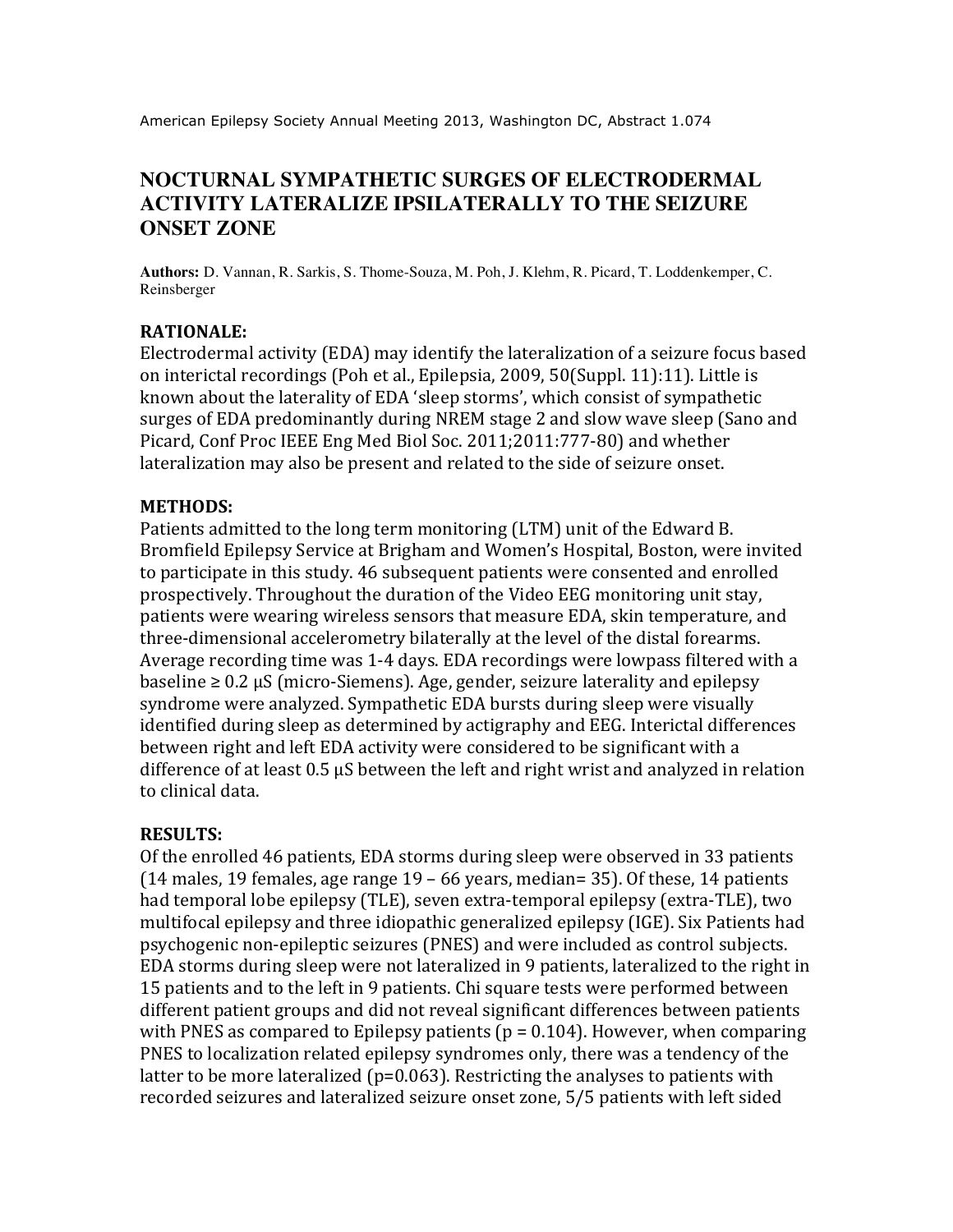American Epilepsy Society Annual Meeting 2013, Washington DC, Abstract 1.074

# **NOCTURNAL SYMPATHETIC SURGES OF ELECTRODERMAL ACTIVITY LATERALIZE IPSILATERALLY TO THE SEIZURE ONSET ZONE**

**Authors:** D. Vannan, R. Sarkis, S. Thome-Souza, M. Poh, J. Klehm, R. Picard, T. Loddenkemper, C. Reinsberger

### **RATIONALE:**

Electrodermal activity (EDA) may identify the lateralization of a seizure focus based on interictal recordings (Poh et al., Epilepsia, 2009, 50(Suppl. 11):11). Little is known about the laterality of EDA 'sleep storms', which consist of sympathetic surges of EDA predominantly during NREM stage 2 and slow wave sleep (Sano and Picard, Conf Proc IEEE Eng Med Biol Soc. 2011;2011:777-80) and whether lateralization may also be present and related to the side of seizure onset.

#### **METHODS:**

Patients admitted to the long term monitoring (LTM) unit of the Edward B. Bromfield Epilepsy Service at Brigham and Women's Hospital, Boston, were invited to participate in this study. 46 subsequent patients were consented and enrolled prospectively. Throughout the duration of the Video EEG monitoring unit stay, patients were wearing wireless sensors that measure EDA, skin temperature, and three-dimensional accelerometry bilaterally at the level of the distal forearms. Average recording time was 1-4 days. EDA recordings were lowpass filtered with a  $\text{baseline} \geq 0.2 \,\mu\text{S}}$  (micro-Siemens). Age, gender, seizure laterality and epilepsy syndrome were analyzed. Sympathetic EDA bursts during sleep were visually identified during sleep as determined by actigraphy and EEG. Interictal differences between right and left EDA activity were considered to be significant with a difference of at least  $0.5 \mu S$  between the left and right wrist and analyzed in relation to clinical data.

#### **RESULTS:**

Of the enrolled 46 patients, EDA storms during sleep were observed in 33 patients (14 males, 19 females, age range  $19 - 66$  years, median= 35). Of these, 14 patients had temporal lobe epilepsy (TLE), seven extra-temporal epilepsy (extra-TLE), two multifocal epilepsy and three idiopathic generalized epilepsy (IGE). Six Patients had psychogenic non-epileptic seizures (PNES) and were included as control subiects. EDA storms during sleep were not lateralized in 9 patients, lateralized to the right in 15 patients and to the left in 9 patients. Chi square tests were performed between different patient groups and did not reveal significant differences between patients with PNES as compared to Epilepsy patients ( $p = 0.104$ ). However, when comparing PNES to localization related epilepsy syndromes only, there was a tendency of the latter to be more lateralized ( $p=0.063$ ). Restricting the analyses to patients with recorded seizures and lateralized seizure onset zone, 5/5 patients with left sided